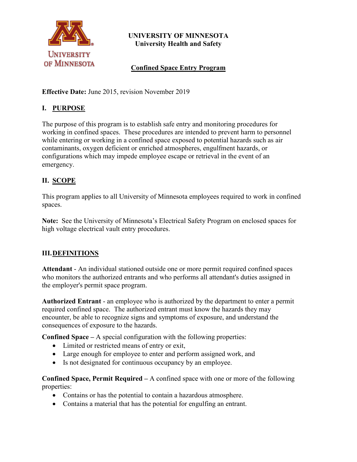

# **UNIVERSITY OF MINNESOTA University Health and Safety**

# **Confined Space Entry Program**

**Effective Date:** June 2015, revision November 2019

# **I. PURPOSE**

The purpose of this program is to establish safe entry and monitoring procedures for working in confined spaces. These procedures are intended to prevent harm to personnel while entering or working in a confined space exposed to potential hazards such as air contaminants, oxygen deficient or enriched atmospheres, engulfment hazards, or configurations which may impede employee escape or retrieval in the event of an emergency.

# **II. SCOPE**

This program applies to all University of Minnesota employees required to work in confined spaces.

**Note:** See the University of Minnesota's Electrical Safety Program on enclosed spaces for high voltage electrical vault entry procedures.

# **III.DEFINITIONS**

**Attendant** - An individual stationed outside one or more permit required confined spaces who monitors the authorized entrants and who performs all attendant's duties assigned in the employer's permit space program.

**Authorized Entrant** - an employee who is authorized by the department to enter a permit required confined space. The authorized entrant must know the hazards they may encounter, be able to recognize signs and symptoms of exposure, and understand the consequences of exposure to the hazards.

**Confined Space –** A special configuration with the following properties:

- Limited or restricted means of entry or exit,
- Large enough for employee to enter and perform assigned work, and
- Is not designated for continuous occupancy by an employee.

**Confined Space, Permit Required –** A confined space with one or more of the following properties:

- Contains or has the potential to contain a hazardous atmosphere.
- Contains a material that has the potential for engulfing an entrant.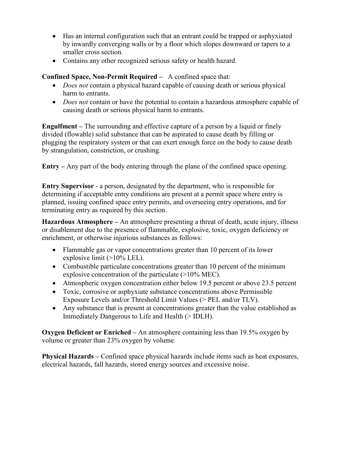- Has an internal configuration such that an entrant could be trapped or asphyxiated by inwardly converging walls or by a floor which slopes downward or tapers to a smaller cross section.
- Contains any other recognized serious safety or health hazard.

**Confined Space, Non-Permit Required –** A confined space that:

- *Does not* contain a physical hazard capable of causing death or serious physical harm to entrants.
- *Does not* contain or have the potential to contain a hazardous atmosphere capable of causing death or serious physical harm to entrants.

**Engulfment –** The surrounding and effective capture of a person by a liquid or finely divided (flowable) solid substance that can be aspirated to cause death by filling or plugging the respiratory system or that can exert enough force on the body to cause death by strangulation, constriction, or crushing.

**Entry –** Any part of the body entering through the plane of the confined space opening.

**Entry Supervisor** - a person, designated by the department, who is responsible for determining if acceptable entry conditions are present at a permit space where entry is planned, issuing confined space entry permits, and overseeing entry operations, and for terminating entry as required by this section.

**Hazardous Atmosphere –** An atmosphere presenting a threat of death, acute injury, illness or disablement due to the presence of flammable, explosive, toxic, oxygen deficiency or enrichment, or otherwise injurious substances as follows:

- Flammable gas or vapor concentrations greater than 10 percent of its lower explosive limit  $(>10\%$  LEL).
- Combustible particulate concentrations greater than 10 percent of the minimum explosive concentration of the particulate (>10% MEC).
- Atmospheric oxygen concentration either below 19.5 percent or above 23.5 percent
- Toxic, corrosive or asphyxiate substance concentrations above Permissible Exposure Levels and/or Threshold Limit Values (> PEL and/or TLV).
- Any substance that is present at concentrations greater than the value established as Immediately Dangerous to Life and Health (> IDLH).

**Oxygen Deficient or Enriched –** An atmosphere containing less than 19.5% oxygen by volume or greater than 23% oxygen by volume.

**Physical Hazards –** Confined space physical hazards include items such as heat exposures, electrical hazards, fall hazards, stored energy sources and excessive noise.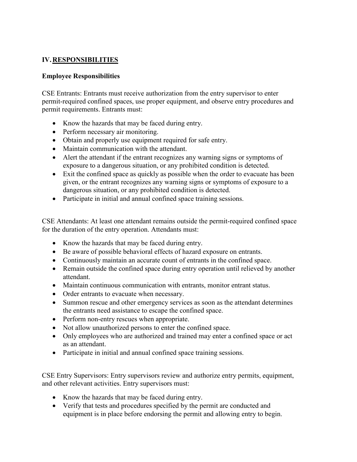#### **IV.RESPONSIBILITIES**

#### **Employee Responsibilities**

CSE Entrants: Entrants must receive authorization from the entry supervisor to enter permit-required confined spaces, use proper equipment, and observe entry procedures and permit requirements. Entrants must:

- Know the hazards that may be faced during entry.
- Perform necessary air monitoring.
- Obtain and properly use equipment required for safe entry.
- Maintain communication with the attendant.
- Alert the attendant if the entrant recognizes any warning signs or symptoms of exposure to a dangerous situation, or any prohibited condition is detected.
- Exit the confined space as quickly as possible when the order to evacuate has been given, or the entrant recognizes any warning signs or symptoms of exposure to a dangerous situation, or any prohibited condition is detected.
- Participate in initial and annual confined space training sessions.

CSE Attendants: At least one attendant remains outside the permit-required confined space for the duration of the entry operation. Attendants must:

- Know the hazards that may be faced during entry.
- Be aware of possible behavioral effects of hazard exposure on entrants.
- Continuously maintain an accurate count of entrants in the confined space.
- Remain outside the confined space during entry operation until relieved by another attendant.
- Maintain continuous communication with entrants, monitor entrant status.
- Order entrants to evacuate when necessary.
- Summon rescue and other emergency services as soon as the attendant determines the entrants need assistance to escape the confined space.
- Perform non-entry rescues when appropriate.
- Not allow unauthorized persons to enter the confined space.
- Only employees who are authorized and trained may enter a confined space or act as an attendant.
- Participate in initial and annual confined space training sessions.

CSE Entry Supervisors: Entry supervisors review and authorize entry permits, equipment, and other relevant activities. Entry supervisors must:

- Know the hazards that may be faced during entry.
- Verify that tests and procedures specified by the permit are conducted and equipment is in place before endorsing the permit and allowing entry to begin.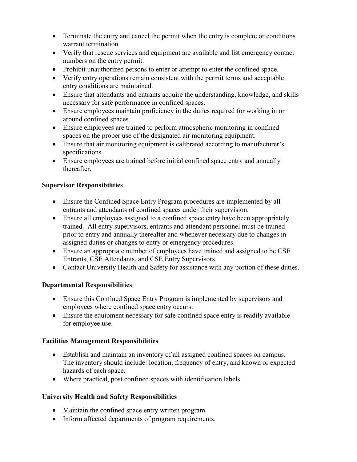- Terminate the entry and cancel the permit when the entry is complete or conditions warrant termination.
- Verify that rescue services and equipment are available and list emergency contact numbers on the entry permit.
- Prohibit unauthorized persons to enter or attempt to enter the confined space.
- Verify entry operations remain consistent with the permit terms and acceptable entry conditions are maintained.
- Ensure that attendants and entrants acquire the understanding, knowledge, and skills necessary for safe performance in confined spaces.
- Ensure employees maintain proficiency in the duties required for working in or around confined spaces.
- Ensure employees are trained to perform atmospheric monitoring in confined spaces on the proper use of the designated air monitoring equipment.
- Ensure that air monitoring equipment is calibrated according to manufacturer's specifications.
- Ensure employees are trained before initial confined space entry and annually thereafter.

#### **Supervisor Responsibilities**

- Ensure the Confined Space Entry Program procedures are implemented by all entrants and attendants of confined spaces under their supervision.
- Ensure all employees assigned to a confined space entry have been appropriately trained. All entry supervisors, entrants and attendant personnel must be trained prior to entry and annually thereafter and whenever necessary due to changes in assigned duties or changes to entry or emergency procedures.
- Ensure an appropriate number of employees have trained and assigned to be CSE Entrants, CSE Attendants, and CSE Entry Supervisors.
- Contact University Health and Safety for assistance with any portion of these duties.

# **Departmental Responsibilities**

- Ensure this Confined Space Entry Program is implemented by supervisors and employees where confined space entry occurs.
- Ensure the equipment necessary for safe confined space entry is readily available for employee use.

#### **Facilities Management Responsibilities**

- Establish and maintain an inventory of all assigned confined spaces on campus. The inventory should include: location, frequency of entry, and known or expected hazards of each space.
- Where practical, post confined spaces with identification labels.

# **University Health and Safety Responsibilities**

- Maintain the confined space entry written program.
- Inform affected departments of program requirements.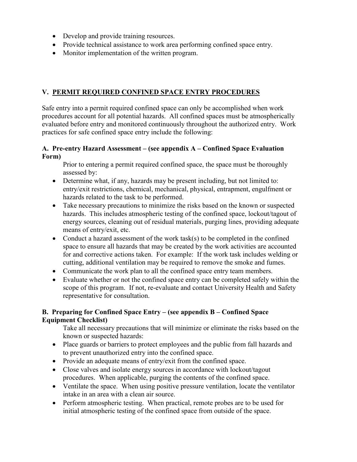- Develop and provide training resources.
- Provide technical assistance to work area performing confined space entry.
- Monitor implementation of the written program.

#### **V. PERMIT REQUIRED CONFINED SPACE ENTRY PROCEDURES**

Safe entry into a permit required confined space can only be accomplished when work procedures account for all potential hazards. All confined spaces must be atmospherically evaluated before entry and monitored continuously throughout the authorized entry. Work practices for safe confined space entry include the following:

#### **A. Pre-entry Hazard Assessment – (see appendix A – Confined Space Evaluation Form)**

Prior to entering a permit required confined space, the space must be thoroughly assessed by:

- Determine what, if any, hazards may be present including, but not limited to: entry/exit restrictions, chemical, mechanical, physical, entrapment, engulfment or hazards related to the task to be performed.
- Take necessary precautions to minimize the risks based on the known or suspected hazards. This includes atmospheric testing of the confined space, lockout/tagout of energy sources, cleaning out of residual materials, purging lines, providing adequate means of entry/exit, etc.
- Conduct a hazard assessment of the work task(s) to be completed in the confined space to ensure all hazards that may be created by the work activities are accounted for and corrective actions taken. For example: If the work task includes welding or cutting, additional ventilation may be required to remove the smoke and fumes.
- Communicate the work plan to all the confined space entry team members.
- Evaluate whether or not the confined space entry can be completed safely within the scope of this program. If not, re-evaluate and contact University Health and Safety representative for consultation.

#### **B. Preparing for Confined Space Entry – (see appendix B – Confined Space Equipment Checklist)**

Take all necessary precautions that will minimize or eliminate the risks based on the known or suspected hazards:

- Place guards or barriers to protect employees and the public from fall hazards and to prevent unauthorized entry into the confined space.
- Provide an adequate means of entry/exit from the confined space.
- Close valves and isolate energy sources in accordance with lockout/tagout procedures. When applicable, purging the contents of the confined space.
- Ventilate the space. When using positive pressure ventilation, locate the ventilator intake in an area with a clean air source.
- Perform atmospheric testing. When practical, remote probes are to be used for initial atmospheric testing of the confined space from outside of the space.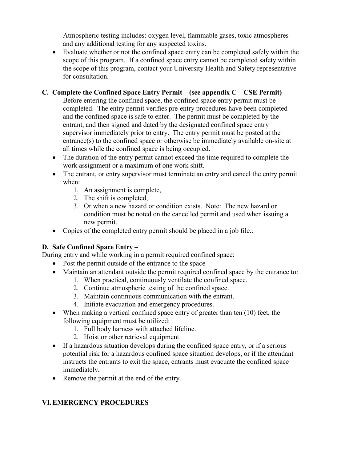Atmospheric testing includes: oxygen level, flammable gases, toxic atmospheres and any additional testing for any suspected toxins.

• Evaluate whether or not the confined space entry can be completed safely within the scope of this program. If a confined space entry cannot be completed safety within the scope of this program, contact your University Health and Safety representative for consultation.

#### **C. Complete the Confined Space Entry Permit – (see appendix C – CSE Permit)**

Before entering the confined space, the confined space entry permit must be completed. The entry permit verifies pre-entry procedures have been completed and the confined space is safe to enter. The permit must be completed by the entrant, and then signed and dated by the designated confined space entry supervisor immediately prior to entry. The entry permit must be posted at the entrance(s) to the confined space or otherwise be immediately available on-site at all times while the confined space is being occupied.

- The duration of the entry permit cannot exceed the time required to complete the work assignment or a maximum of one work shift.
- The entrant, or entry supervisor must terminate an entry and cancel the entry permit when:
	- 1. An assignment is complete,
	- 2. The shift is completed,
	- 3. Or when a new hazard or condition exists. Note: The new hazard or condition must be noted on the cancelled permit and used when issuing a new permit.
- Copies of the completed entry permit should be placed in a job file..

# **D. Safe Confined Space Entry –**

During entry and while working in a permit required confined space:

- Post the permit outside of the entrance to the space
- Maintain an attendant outside the permit required confined space by the entrance to:
	- 1. When practical, continuously ventilate the confined space.
	- 2. Continue atmospheric testing of the confined space.
	- 3. Maintain continuous communication with the entrant.
	- 4. Initiate evacuation and emergency procedures.
- When making a vertical confined space entry of greater than ten (10) feet, the following equipment must be utilized:
	- 1. Full body harness with attached lifeline.
	- 2. Hoist or other retrieval equipment.
- If a hazardous situation develops during the confined space entry, or if a serious potential risk for a hazardous confined space situation develops, or if the attendant instructs the entrants to exit the space, entrants must evacuate the confined space immediately.
- Remove the permit at the end of the entry.

# **VI.EMERGENCY PROCEDURES**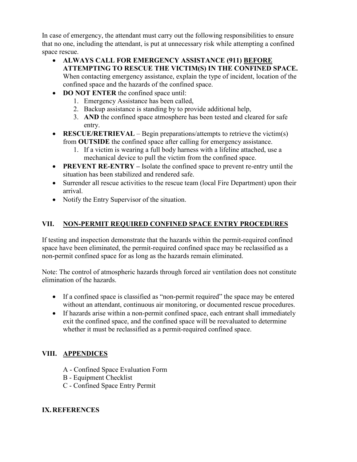In case of emergency, the attendant must carry out the following responsibilities to ensure that no one, including the attendant, is put at unnecessary risk while attempting a confined space rescue.

- **ALWAYS CALL FOR EMERGENCY ASSISTANCE (911) BEFORE ATTEMPTING TO RESCUE THE VICTIM(S) IN THE CONFINED SPACE.**  When contacting emergency assistance, explain the type of incident, location of the confined space and the hazards of the confined space.
- **DO NOT ENTER** the confined space until:
	- 1. Emergency Assistance has been called,
	- 2. Backup assistance is standing by to provide additional help,
	- 3. **AND** the confined space atmosphere has been tested and cleared for safe entry.
- **RESCUE/RETRIEVAL** Begin preparations/attempts to retrieve the victim(s) from **OUTSIDE** the confined space after calling for emergency assistance.
	- 1. If a victim is wearing a full body harness with a lifeline attached, use a mechanical device to pull the victim from the confined space.
- **PREVENT RE-ENTRY** Isolate the confined space to prevent re-entry until the situation has been stabilized and rendered safe.
- Surrender all rescue activities to the rescue team (local Fire Department) upon their arrival.
- Notify the Entry Supervisor of the situation.

# **VII. NON-PERMIT REQUIRED CONFINED SPACE ENTRY PROCEDURES**

If testing and inspection demonstrate that the hazards within the permit-required confined space have been eliminated, the permit-required confined space may be reclassified as a non-permit confined space for as long as the hazards remain eliminated.

Note: The control of atmospheric hazards through forced air ventilation does not constitute elimination of the hazards.

- If a confined space is classified as "non-permit required" the space may be entered without an attendant, continuous air monitoring, or documented rescue procedures.
- If hazards arise within a non-permit confined space, each entrant shall immediately exit the confined space, and the confined space will be reevaluated to determine whether it must be reclassified as a permit-required confined space.

# **VIII. APPENDICES**

- A Confined Space Evaluation Form
- B Equipment Checklist
- C Confined Space Entry Permit

#### **IX.REFERENCES**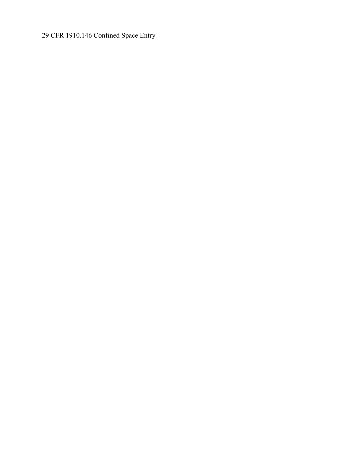CFR 1910.146 Confined Space Entry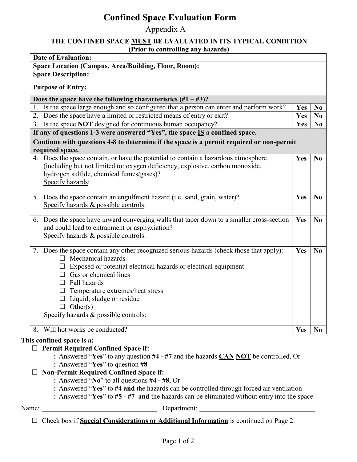# **Confined Space Evaluation Form**

Appendix A

#### **THE CONFINED SPACE MUST BE EVALUATED IN ITS TYPICAL CONDITION (Prior to controlling any hazards)**

| <b>Space Description:</b>                                                                                                                                                                                                                                                                                                                                                     |            |                |
|-------------------------------------------------------------------------------------------------------------------------------------------------------------------------------------------------------------------------------------------------------------------------------------------------------------------------------------------------------------------------------|------------|----------------|
| <b>Purpose of Entry:</b>                                                                                                                                                                                                                                                                                                                                                      |            |                |
| Does the space have the following characteristics $(\#1 - \#3)$ ?                                                                                                                                                                                                                                                                                                             |            |                |
| Is the space large enough and so configured that a person can enter and perform work?                                                                                                                                                                                                                                                                                         | Yes        | N <sub>0</sub> |
| Does the space have a limited or restricted means of entry or exit?<br>2.                                                                                                                                                                                                                                                                                                     | Yes        | N <sub>0</sub> |
| 3. Is the space NOT designed for continuous human occupancy?                                                                                                                                                                                                                                                                                                                  | <b>Yes</b> | N <sub>0</sub> |
| If any of questions 1-3 were answered "Yes", the space $IS$ a confined space.                                                                                                                                                                                                                                                                                                 |            |                |
| Continue with questions 4-8 to determine if the space is a permit required or non-permit                                                                                                                                                                                                                                                                                      |            |                |
| required space.                                                                                                                                                                                                                                                                                                                                                               |            |                |
| 4. Does the space contain, or have the potential to contain a hazardous atmosphere<br>(including but not limited to: oxygen deficiency, explosive, carbon monoxide,<br>hydrogen sulfide, chemical fumes/gases)?<br>Specify hazards:                                                                                                                                           | Yes        | N <sub>0</sub> |
| 5. Does the space contain an engulfment hazard (i.e. sand, grain, water)?<br>Specify hazards & possible controls:                                                                                                                                                                                                                                                             | Yes        | N <sub>0</sub> |
| 6. Does the space have inward converging walls that taper down to a smaller cross-section<br>and could lead to entrapment or asphyxiation?<br>Specify hazards & possible controls:                                                                                                                                                                                            | Yes        | No             |
| 7. Does the space contain any other recognized serious hazards (check those that apply):<br>$\Box$ Mechanical hazards<br>Exposed or potential electrical hazards or electrical equipment<br>Gas or chemical lines<br>$\Box$<br>$\Box$ Fall hazards<br>Temperature extremes/heat stress<br>Liquid, sludge or residue<br>Other(s)<br>Ш.<br>Specify hazards & possible controls: | Yes        | N <sub>0</sub> |
| Will hot works be conducted?<br>8.                                                                                                                                                                                                                                                                                                                                            | Yes        | N <sub>0</sub> |
| This confined space is a:<br><b>Permit Required Confined Space if:</b><br>$\Box$<br>$\circ$ Answered "Yes" to any question #4 - #7 and the hazards $\overline{CAN}$ NOT be controlled, Or<br>o Answered "Yes" to question #8<br><b>Non-Permit Required Confined Space if:</b>                                                                                                 |            |                |

- o Answered "**No**" to all questions **#4 - #8**, Or
- o Answered "**Yes**" to **#4 and** the hazards can be controlled through forced air ventilation
- o Answered "**Yes**" to **#5 - #7 and** the hazards can be eliminated without entry into the space

Name: <u>Name:</u> Department: <u>Name:</u> Department: 2007

Check box if **Special Considerations or Additional Information** is continued on Page 2.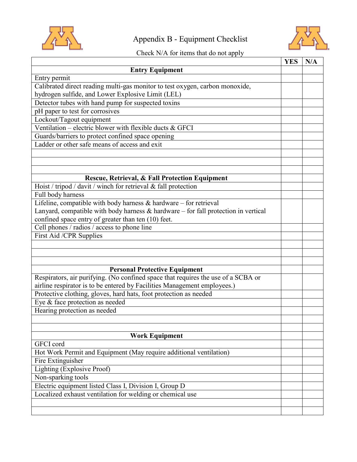

# Appendix B - Equipment Checklist



# Check N/A for items that do not apply

|                                                                                       | <b>YES</b> | N/A |
|---------------------------------------------------------------------------------------|------------|-----|
| <b>Entry Equipment</b>                                                                |            |     |
| Entry permit                                                                          |            |     |
| Calibrated direct reading multi-gas monitor to test oxygen, carbon monoxide,          |            |     |
| hydrogen sulfide, and Lower Explosive Limit (LEL)                                     |            |     |
| Detector tubes with hand pump for suspected toxins                                    |            |     |
| pH paper to test for corrosives                                                       |            |     |
| Lockout/Tagout equipment                                                              |            |     |
| Ventilation – electric blower with flexible ducts $&$ GFCI                            |            |     |
| Guards/barriers to protect confined space opening                                     |            |     |
| Ladder or other safe means of access and exit                                         |            |     |
|                                                                                       |            |     |
|                                                                                       |            |     |
|                                                                                       |            |     |
| Rescue, Retrieval, & Fall Protection Equipment                                        |            |     |
| Hoist / tripod / davit / winch for retrieval & fall protection                        |            |     |
| Full body harness                                                                     |            |     |
| Lifeline, compatible with body harness $\&$ hardware – for retrieval                  |            |     |
| Lanyard, compatible with body harness $\&$ hardware – for fall protection in vertical |            |     |
| confined space entry of greater than ten (10) feet.                                   |            |     |
| Cell phones / radios / access to phone line                                           |            |     |
| First Aid /CPR Supplies                                                               |            |     |
|                                                                                       |            |     |
|                                                                                       |            |     |
|                                                                                       |            |     |
| <b>Personal Protective Equipment</b>                                                  |            |     |
| Respirators, air purifying. (No confined space that requires the use of a SCBA or     |            |     |
| airline respirator is to be entered by Facilities Management employees.)              |            |     |
| Protective clothing, gloves, hard hats, foot protection as needed                     |            |     |
| Eye & face protection as needed                                                       |            |     |
| Hearing protection as needed                                                          |            |     |
|                                                                                       |            |     |
|                                                                                       |            |     |
| <b>Work Equipment</b>                                                                 |            |     |
| GFCI cord                                                                             |            |     |
| Hot Work Permit and Equipment (May require additional ventilation)                    |            |     |
| Fire Extinguisher                                                                     |            |     |
| Lighting (Explosive Proof)                                                            |            |     |
| Non-sparking tools                                                                    |            |     |
| Electric equipment listed Class I, Division I, Group D                                |            |     |
| Localized exhaust ventilation for welding or chemical use                             |            |     |
|                                                                                       |            |     |
|                                                                                       |            |     |